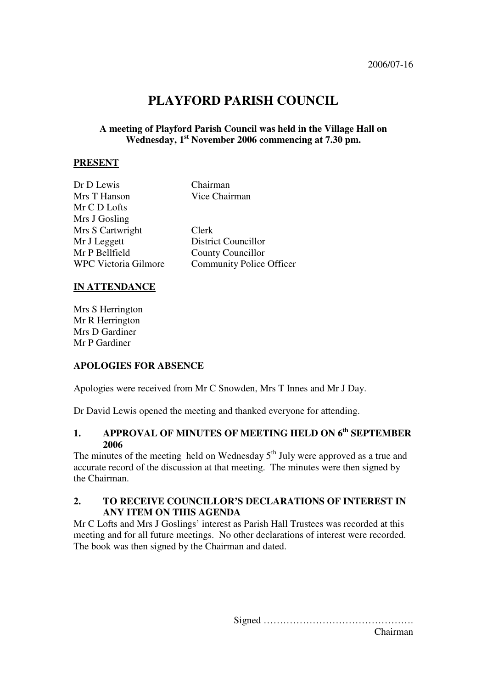# **PLAYFORD PARISH COUNCIL**

#### **A meeting of Playford Parish Council was held in the Village Hall on Wednesday, 1st November 2006 commencing at 7.30 pm.**

#### **PRESENT**

| Dr D Lewis                  | Chairman                        |  |
|-----------------------------|---------------------------------|--|
| Mrs T Hanson                | Vice Chairman                   |  |
| Mr C D Lofts                |                                 |  |
| Mrs J Gosling               |                                 |  |
| Mrs S Cartwright            | Clerk                           |  |
| Mr J Leggett                | <b>District Councillor</b>      |  |
| Mr P Bellfield              | <b>County Councillor</b>        |  |
| <b>WPC Victoria Gilmore</b> | <b>Community Police Officer</b> |  |
|                             |                                 |  |

#### **IN ATTENDANCE**

Mrs S Herrington Mr R Herrington Mrs D Gardiner Mr P Gardiner

#### **APOLOGIES FOR ABSENCE**

Apologies were received from Mr C Snowden, Mrs T Innes and Mr J Day.

Dr David Lewis opened the meeting and thanked everyone for attending.

## 1. APPROVAL OF MINUTES OF MEETING HELD ON 6<sup>th</sup> SEPTEMBER **2006**

The minutes of the meeting held on Wednesday  $5<sup>th</sup>$  July were approved as a true and accurate record of the discussion at that meeting. The minutes were then signed by the Chairman.

#### **2. TO RECEIVE COUNCILLOR'S DECLARATIONS OF INTEREST IN ANY ITEM ON THIS AGENDA**

Mr C Lofts and Mrs J Goslings' interest as Parish Hall Trustees was recorded at this meeting and for all future meetings. No other declarations of interest were recorded. The book was then signed by the Chairman and dated.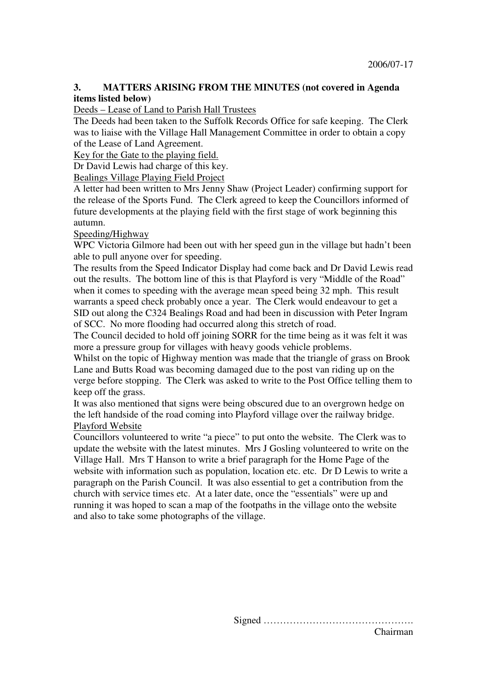### **3. MATTERS ARISING FROM THE MINUTES (not covered in Agenda items listed below)**

Deeds – Lease of Land to Parish Hall Trustees

The Deeds had been taken to the Suffolk Records Office for safe keeping. The Clerk was to liaise with the Village Hall Management Committee in order to obtain a copy of the Lease of Land Agreement.

Key for the Gate to the playing field.

Dr David Lewis had charge of this key.

Bealings Village Playing Field Project

A letter had been written to Mrs Jenny Shaw (Project Leader) confirming support for the release of the Sports Fund. The Clerk agreed to keep the Councillors informed of future developments at the playing field with the first stage of work beginning this autumn.

#### Speeding/Highway

WPC Victoria Gilmore had been out with her speed gun in the village but hadn't been able to pull anyone over for speeding.

The results from the Speed Indicator Display had come back and Dr David Lewis read out the results. The bottom line of this is that Playford is very "Middle of the Road" when it comes to speeding with the average mean speed being 32 mph. This result warrants a speed check probably once a year. The Clerk would endeavour to get a SID out along the C324 Bealings Road and had been in discussion with Peter Ingram of SCC. No more flooding had occurred along this stretch of road.

The Council decided to hold off joining SORR for the time being as it was felt it was more a pressure group for villages with heavy goods vehicle problems.

Whilst on the topic of Highway mention was made that the triangle of grass on Brook Lane and Butts Road was becoming damaged due to the post van riding up on the verge before stopping. The Clerk was asked to write to the Post Office telling them to keep off the grass.

It was also mentioned that signs were being obscured due to an overgrown hedge on the left handside of the road coming into Playford village over the railway bridge. Playford Website

Councillors volunteered to write "a piece" to put onto the website. The Clerk was to update the website with the latest minutes. Mrs J Gosling volunteered to write on the Village Hall. Mrs T Hanson to write a brief paragraph for the Home Page of the website with information such as population, location etc. etc. Dr D Lewis to write a paragraph on the Parish Council. It was also essential to get a contribution from the church with service times etc. At a later date, once the "essentials" were up and running it was hoped to scan a map of the footpaths in the village onto the website and also to take some photographs of the village.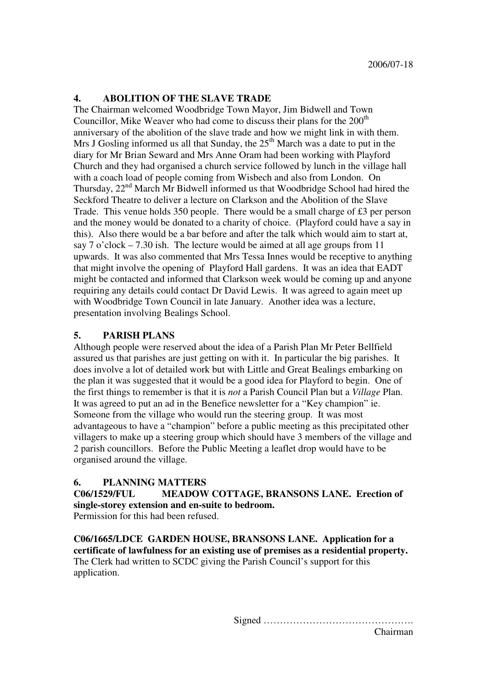### **4. ABOLITION OF THE SLAVE TRADE**

The Chairman welcomed Woodbridge Town Mayor, Jim Bidwell and Town Councillor, Mike Weaver who had come to discuss their plans for the  $200<sup>th</sup>$ anniversary of the abolition of the slave trade and how we might link in with them. Mrs J Gosling informed us all that Sunday, the  $25<sup>th</sup>$  March was a date to put in the diary for Mr Brian Seward and Mrs Anne Oram had been working with Playford Church and they had organised a church service followed by lunch in the village hall with a coach load of people coming from Wisbech and also from London. On Thursday,  $22<sup>nd</sup>$  March Mr Bidwell informed us that Woodbridge School had hired the Seckford Theatre to deliver a lecture on Clarkson and the Abolition of the Slave Trade. This venue holds 350 people. There would be a small charge of £3 per person and the money would be donated to a charity of choice. (Playford could have a say in this). Also there would be a bar before and after the talk which would aim to start at, say 7 o'clock – 7.30 ish. The lecture would be aimed at all age groups from 11 upwards. It was also commented that Mrs Tessa Innes would be receptive to anything that might involve the opening of Playford Hall gardens. It was an idea that EADT might be contacted and informed that Clarkson week would be coming up and anyone requiring any details could contact Dr David Lewis. It was agreed to again meet up with Woodbridge Town Council in late January. Another idea was a lecture, presentation involving Bealings School.

#### **5. PARISH PLANS**

Although people were reserved about the idea of a Parish Plan Mr Peter Bellfield assured us that parishes are just getting on with it. In particular the big parishes. It does involve a lot of detailed work but with Little and Great Bealings embarking on the plan it was suggested that it would be a good idea for Playford to begin. One of the first things to remember is that it is *not* a Parish Council Plan but a *Village* Plan. It was agreed to put an ad in the Benefice newsletter for a "Key champion" ie. Someone from the village who would run the steering group. It was most advantageous to have a "champion" before a public meeting as this precipitated other villagers to make up a steering group which should have 3 members of the village and 2 parish councillors. Before the Public Meeting a leaflet drop would have to be organised around the village.

#### **6. PLANNING MATTERS**

**C06/1529/FUL MEADOW COTTAGE, BRANSONS LANE. Erection of single-storey extension and en-suite to bedroom.** 

Permission for this had been refused.

**C06/1665/LDCE GARDEN HOUSE, BRANSONS LANE. Application for a certificate of lawfulness for an existing use of premises as a residential property.**  The Clerk had written to SCDC giving the Parish Council's support for this application.

Signed ……………………………………….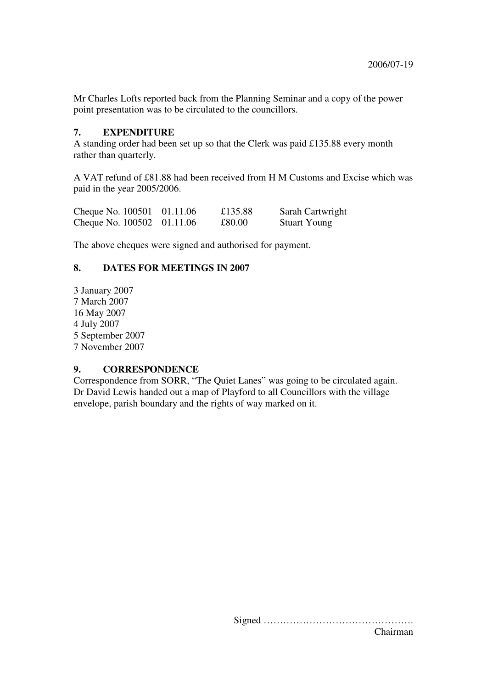Mr Charles Lofts reported back from the Planning Seminar and a copy of the power point presentation was to be circulated to the councillors.

#### **7. EXPENDITURE**

A standing order had been set up so that the Clerk was paid £135.88 every month rather than quarterly.

A VAT refund of £81.88 had been received from H M Customs and Excise which was paid in the year 2005/2006.

| Cheque No. 100501 01.11.06 | £135.88 | Sarah Cartwright    |
|----------------------------|---------|---------------------|
| Cheque No. 100502 01.11.06 | £80.00  | <b>Stuart Young</b> |

The above cheques were signed and authorised for payment.

#### **8. DATES FOR MEETINGS IN 2007**

3 January 2007 7 March 2007 16 May 2007 4 July 2007 5 September 2007 7 November 2007

#### **9. CORRESPONDENCE**

Correspondence from SORR, "The Quiet Lanes" was going to be circulated again. Dr David Lewis handed out a map of Playford to all Councillors with the village envelope, parish boundary and the rights of way marked on it.